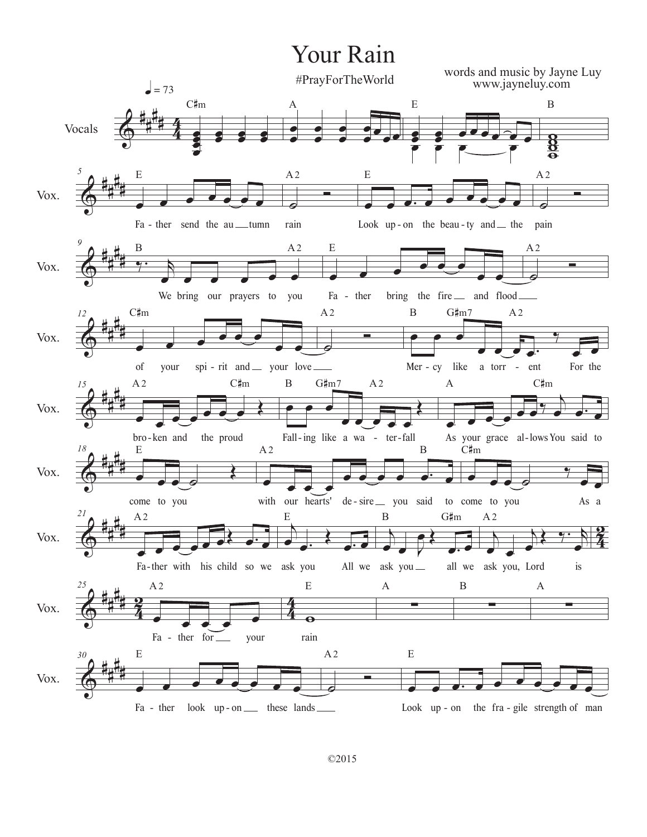## Your Rain